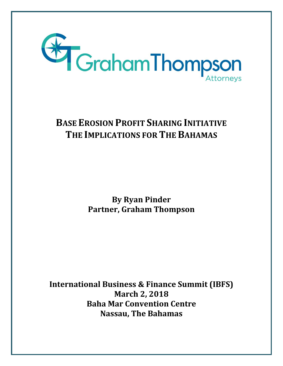

# **BASE EROSION PROFIT SHARING INITIATIVE THE IMPLICATIONS FOR THE BAHAMAS**

**By Ryan Pinder Partner, Graham Thompson**

**International Business & Finance Summit (IBFS) March 2, 2018 Baha Mar Convention Centre Nassau, The Bahamas**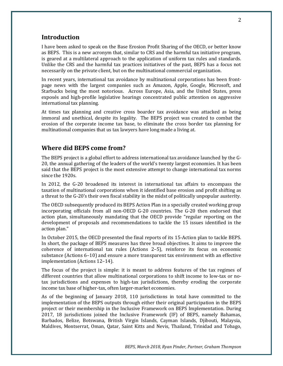## **Introduction**

I have been asked to speak on the Base Erosion Profit Sharing of the OECD, or better know as BEPS. This is a new acronym that, similar to CRS and the harmful tax initiative program, is geared at a multilateral approach to the application of uniform tax rules and standards. Unlike the CRS and the harmful tax practices initiatives of the past, BEPS has a focus not necessarily on the private client, but on the multinational commercial organization.

In recent years, international tax avoidance by multinational corporations has been frontpage news with the largest companies such as Amazon, Apple, Google, Microsoft, and Starbucks being the most notorious. Across Europe, Asia, and the United States, press exposés and high-profile legislative hearings concentrated public attention on aggressive international tax planning.

At times tax planning and creative cross boarder tax avoidance was attacked as being immoral and unethical, despite its legality. The BEPS project was created to combat the erosion of the corporate income tax base, to eliminate the cross border tax planning for multinational companies that us tax lawyers have long made a living at.

## **Where did BEPS come from?**

The BEPS project is a global effort to address international tax avoidance launched by the G-20, the annual gathering of the leaders of the world's twenty largest economies. It has been said that the BEPS project is the most extensive attempt to change international tax norms since the 1920s.

In 2012, the G-20 broadened its interest in international tax affairs to encompass the taxation of multinational corporations when it identified base erosion and profit shifting as a threat to the G-20's their own fiscal stability in the midst of politically unpopular austerity.

The OECD subsequently produced its BEPS Action Plan in a specially created working group incorporating officials from all non-OECD G-20 countries. The G-20 then endorsed that action plan, simultaneously mandating that the OECD provide "regular reporting on the development of proposals and recommendations to tackle the 15 issues identified in the action plan."

In October 2015, the OECD presented the final reports of its 15-Action plan to tackle BEPS. In short, the package of BEPS measures has three broad objectives. It aims to improve the coherence of international tax rules (Actions 2–5), reinforce its focus on economic substance (Actions 6–10) and ensure a more transparent tax environment with an effective implementation (Actions 12–14).

The focus of the project is simple: it is meant to address features of the tax regimes of different countries that allow multinational corporations to shift income to low-tax or notax jurisdictions and expenses to high-tax jurisdictions, thereby eroding the corporate income tax base of higher-tax, often larger-market economies.

As of the beginning of January 2018, 110 jurisdictions in total have committed to the implementation of the BEPS outputs through either their original participation in the BEPS project or their membership in the Inclusive Framework on BEPS Implementation. During 2017, 18 jurisdictions joined the Inclusive Framework (IF) of BEPS, namely Bahamas, Barbados, Belize, Botswana, British Virgin Islands, Cayman Islands, Djibouti, Malaysia, Maldives, Montserrat, Oman, Qatar, Saint Kitts and Nevis, Thailand, Trinidad and Tobago,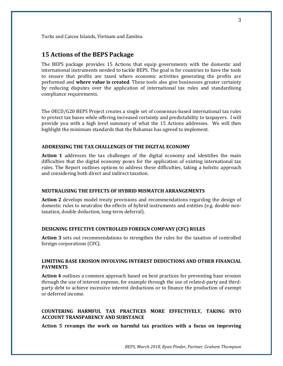Turks and Caicos Islands, Vietnam and Zambia.

## **15 Actions of the BEPS Package**

The BEPS package provides 15 Actions that equip governments with the domestic and international instruments needed to tackle BEPS. The goal is for countries to have the tools to ensure that profits are taxed where economic activities generating the profits are performed and **where value is created**. These tools also give businesses greater certainty by reducing disputes over the application of international tax rules and standardising compliance requirements.

The OECD/G20 BEPS Project creates a single set of consensus-based international tax rules to protect tax bases while offering increased certainty and predictability to taxpayers. I will provide you with a high level summary of what the 15 Actions addresses. We will then highlight the minimum standards that the Bahamas has agreed to implement.

#### **ADDRESSING THE TAX CHALLENGES OF THE DIGITAL ECONOMY**

**Action 1** addresses the tax challenges of the digital economy and identifies the main difficulties that the digital economy poses for the application of existing international tax rules. The Report outlines options to address these difficulties, taking a holistic approach and considering both direct and indirect taxation.

## **NEUTRALISING THE EFFECTS OF HYBRID MISMATCH ARRANGEMENTS**

**Action 2** develops model treaty provisions and recommendations regarding the design of domestic rules to neutralise the effects of hybrid instruments and entities (e.g. double nontaxation, double deduction, long-term deferral).

#### **DESIGNING EFFECTIVE CONTROLLED FOREIGN COMPANY (CFC) RULES**

**Action 3** sets out recommendations to strengthen the rules for the taxation of controlled foreign corporations (CFC).

#### **LIMITING BASE EROSION INVOLVING INTEREST DEDUCTIONS AND OTHER FINANCIAL PAYMENTS**

**Action 4** outlines a common approach based on best practices for preventing base erosion through the use of interest expense, for example through the use of related-party and thirdparty debt to achieve excessive interest deductions or to finance the production of exempt or deferred income.

#### **COUNTERING HARMFUL TAX PRACTICES MORE EFFECTIVELY, TAKING INTO ACCOUNT TRANSPARENCY AND SUBSTANCE**

**Action 5 revamps the work on harmful tax practices with a focus on improving**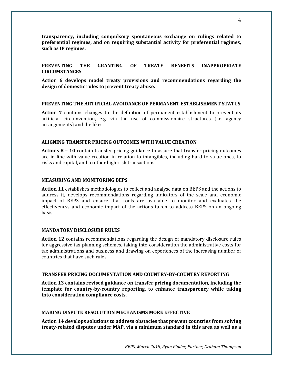**transparency, including compulsory spontaneous exchange on rulings related to preferential regimes, and on requiring substantial activity for preferential regimes, such as IP regimes.**

## **PREVENTING THE GRANTING OF TREATY BENEFITS INAPPROPRIATE CIRCUMSTANCES**

**Action 6 develops model treaty provisions and recommendations regarding the design of domestic rules to prevent treaty abuse.**

#### **PREVENTING THE ARTIFICIAL AVOIDANCE OF PERMANENT ESTABLISHMENT STATUS**

**Action 7** contains changes to the definition of permanent establishment to prevent its artificial circumvention, e.g. via the use of commissionaire structures (i.e. agency arrangements) and the likes.

#### **ALIGNING TRANSFER PRICING OUTCOMES WITH VALUE CREATION**

**Actions 8 – 10** contain transfer pricing guidance to assure that transfer pricing outcomes are in line with value creation in relation to intangibles, including hard-to-value ones, to risks and capital, and to other high-risk transactions.

#### **MEASURING AND MONITORING BEPS**

**Action 11** establishes methodologies to collect and analyse data on BEPS and the actions to address it, develops recommendations regarding indicators of the scale and economic impact of BEPS and ensure that tools are available to monitor and evaluates the effectiveness and economic impact of the actions taken to address BEPS on an ongoing basis.

#### **MANDATORY DISCLOSURE RULES**

**Action 12** contains recommendations regarding the design of mandatory disclosure rules for aggressive tax planning schemes, taking into consideration the administrative costs for tax administrations and business and drawing on experiences of the increasing number of countries that have such rules.

#### **TRANSFER PRICING DOCUMENTATION AND COUNTRY-BY-COUNTRY REPORTING**

**Action 13 contains revised guidance on transfer pricing documentation, including the template for country-by-country reporting, to enhance transparency while taking into consideration compliance costs.**

#### **MAKING DISPUTE RESOLUTION MECHANISMS MORE EFFECTIVE**

**Action 14 develops solutions to address obstacles that prevent countries from solving treaty-related disputes under MAP, via a minimum standard in this area as well as a**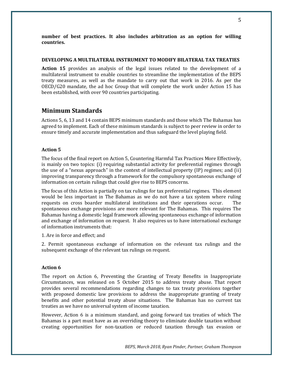**number of best practices. It also includes arbitration as an option for willing countries.**

#### **DEVELOPING A MULTILATERAL INSTRUMENT TO MODIFY BILATERAL TAX TREATIES**

**Action 15** provides an analysis of the legal issues related to the development of a multilateral instrument to enable countries to streamline the implementation of the BEPS treaty measures, as well as the mandate to carry out that work in 2016. As per the OECD/G20 mandate, the ad hoc Group that will complete the work under Action 15 has been established, with over 90 countries participating.

## **Minimum Standards**

Actions 5, 6, 13 and 14 contain BEPS minimum standards and those which The Bahamas has agreed to implement. Each of these minimum standards is subject to peer review in order to ensure timely and accurate implementation and thus safeguard the level playing field.

## **Action 5**

The focus of the final report on Action 5, Countering Harmful Tax Practices More Effectively, is mainly on two topics: (i) requiring substantial activity for preferential regimes through the use of a "nexus approach" in the context of intellectual property (IP) regimes; and (ii) improving transparency through a framework for the compulsory spontaneous exchange of information on certain rulings that could give rise to BEPS concerns.

The focus of this Action is partially on tax rulings for tax preferential regimes. This element would be less important in The Bahamas as we do not have a tax system where ruling requests on cross boarder multilateral institutions and their operations occur. The spontaneous exchange provisions are more relevant for The Bahamas. This requires The Bahamas having a domestic legal framework allowing spontaneous exchange of information and exchange of information on request. It also requires us to have international exchange of information instruments that:

1. Are in force and effect; and

2. Permit spontaneous exchange of information on the relevant tax rulings and the subsequent exchange of the relevant tax rulings on request.

#### **Action 6**

The report on Action 6, Preventing the Granting of Treaty Benefits in Inappropriate Circumstances, was released on 5 October 2015 to address treaty abuse. That report provides several recommendations regarding changes to tax treaty provisions together with proposed domestic law provisions to address the inappropriate granting of treaty benefits and other potential treaty abuse situations. The Bahamas has no current tax treaties as we have no universal system of income taxation.

However, Action 6 is a minimum standard, and going forward tax treaties of which The Bahamas is a part must have as an overriding theory to eliminate double taxation without creating opportunities for non-taxation or reduced taxation through tax evasion or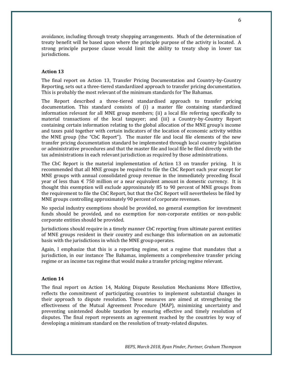avoidance, including through treaty shopping arrangements. Much of the determination of treaty benefit will be based upon where the principle purpose of the activity is located. A strong principle purpose clause would limit the ability to treaty shop in lower tax jurisdictions.

## **Action 13**

The final report on Action 13, Transfer Pricing Documentation and Country-by-Country Reporting, sets out a three-tiered standardized approach to transfer pricing documentation. This is probably the most relevant of the minimum standards for The Bahamas.

The Report described a three-tiered standardised approach to transfer pricing documentation. This standard consists of (i) a master file containing standardized information relevant for all MNE group members; (ii) a local file referring specifically to material transactions of the local taxpayer; and (iii) a Country-by-Country Report containing certain information relating to the global allocation of the MNE group's income and taxes paid together with certain indicators of the location of economic activity within the MNE group (the "CbC Report"). The master file and local file elements of the new transfer pricing documentation standard be implemented through local country legislation or administrative procedures and that the master file and local file be filed directly with the tax administrations in each relevant jurisdiction as required by those administrations.

The CbC Report is the material implementation of Action 13 on transfer pricing. It is recommended that all MNE groups be required to file the CbC Report each year except for MNE groups with annual consolidated group revenue in the immediately preceding fiscal year of less than  $\epsilon$  750 million or a near equivalent amount in domestic currency. It is thought this exemption will exclude approximately 85 to 90 percent of MNE groups from the requirement to file the CbC Report, but that the CbC Report will nevertheless be filed by MNE groups controlling approximately 90 percent of corporate revenues.

No special industry exemptions should be provided, no general exemption for investment funds should be provided, and no exemption for non-corporate entities or non-public corporate entities should be provided.

Jurisdictions should require in a timely manner CbC reporting from ultimate parent entities of MNE groups resident in their country and exchange this information on an automatic basis with the jurisdictions in which the MNE group operates.

Again, I emphasize that this is a reporting regime, not a regime that mandates that a jurisdiction, in our instance The Bahamas, implements a comprehensive transfer pricing regime or an income tax regime that would make a transfer pricing regime relevant.

#### **Action 14**

The final report on Action 14, Making Dispute Resolution Mechanisms More Effective, reflects the commitment of participating countries to implement substantial changes in their approach to dispute resolution. These measures are aimed at strengthening the effectiveness of the Mutual Agreement Procedure (MAP), minimizing uncertainty and preventing unintended double taxation by ensuring effective and timely resolution of disputes. The final report represents an agreement reached by the countries by way of developing a minimum standard on the resolution of treaty-related disputes.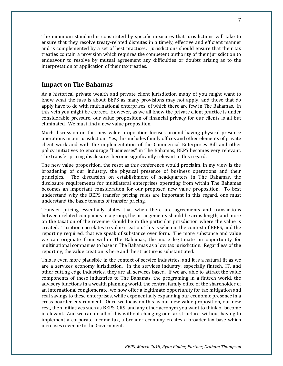The minimum standard is constituted by specific measures that jurisdictions will take to ensure that they resolve treaty-related disputes in a timely, effective and efficient manner and is complemented by a set of best practices. Jurisdictions should ensure that their tax treaties contain a provision which requires the competent authority of their jurisdiction to endeavour to resolve by mutual agreement any difficulties or doubts arising as to the interpretation or application of their tax treaties.

## **Impact on The Bahamas**

As a historical private wealth and private client jurisdiction many of you might want to know what the fuss is about BEPS as many provisions may not apply, and those that do apply have to do with multinational enterprises, of which there are few in The Bahamas. In this vein you might be correct. However, as we all know the private client practice is under considerable pressure, our value proposition of financial privacy for our clients is all but eliminated. We must find a new value proposition.

Much discussion on this new value proposition focuses around having physical presence operations in our jurisdiction. Yes, this includes family offices and other elements of private client work and with the implementation of the Commercial Enterprises Bill and other policy initiatives to encourage "businesses" in The Bahamas, BEPS becomes very relevant. The transfer pricing disclosures become significantly relevant in this regard.

The new value proposition, the reset as this conference would proclaim, in my view is the broadening of our industry, the physical presence of business operations and their principles. The discussion on establishment of headquarters in The Bahamas, the disclosure requirements for multilateral enterprises operating from within The Bahamas becomes an important consideration for our proposed new value proposition. To best understand why the BEPS transfer pricing rules are important in this regard, one must understand the basic tenants of transfer pricing.

Transfer pricing essentially states that when there are agreements and transactions between related companies in a group, the arrangements should be arms length, and more on the taxation of the revenue should be in the particular jurisdiction where the value is created. Taxation correlates to value creation. This is when in the context of BEPS, and the reporting required, that we speak of substance over form. The more substance and value we can originate from within The Bahamas, the more legitimate an opportunity for multinational companies to base in The Bahamas as a low tax jurisdiction. Regardless of the reporting, the value creation is here and the structure is substantiated.

This is even more plausible in the context of service industries, and it is a natural fit as we are a services economy jurisdiction. In the services industry, especially fintech, IT, and other cutting edge industries, they are all services based. If we are able to attract the value components of these industries to The Bahamas, the programing in a fintech world, the advisory functions in a wealth planning world, the central family office of the shareholder of an international conglomerate, we now offer a legitimate opportunity for tax mitigation and real savings to these enterprises, while exponentially expanding our economic presence in a cross boarder environment. Once we focus on this as our new value proposition, our new rest, then initiatives such as BEPS, CRS, and any other acronym you want to think of become irrelevant. And we can do all of this without changing our tax structure, without having to implement a corporate income tax, a broader economy creates a broader tax base which increases revenue to the Government.